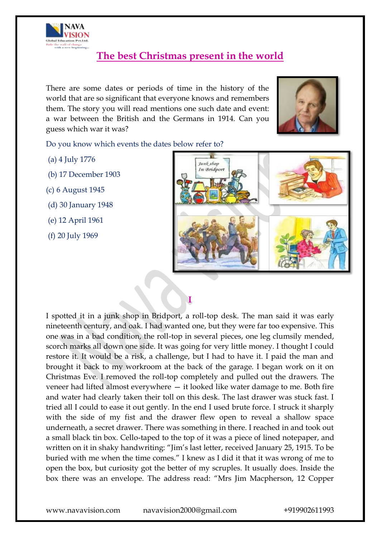

# **The best Christmas present in the world**

There are some dates or periods of time in the history of the world that are so significant that everyone knows and remembers them. The story you will read mentions one such date and event: a war between the British and the Germans in 1914. Can you guess which war it was?



Do you know which events the dates below refer to?

- (a) 4 July 1776
- (b) 17 December 1903
- (c) 6 August 1945
- (d) 30 January 1948
- (e) 12 April 1961
- (f) 20 July 1969



I spotted it in a junk shop in Bridport, a roll-top desk. The man said it was early nineteenth century, and oak. I had wanted one, but they were far too expensive. This one was in a bad condition, the roll-top in several pieces, one leg clumsily mended, scorch marks all down one side. It was going for very little money. I thought I could restore it. It would be a risk, a challenge, but I had to have it. I paid the man and brought it back to my workroom at the back of the garage. I began work on it on Christmas Eve. I removed the roll-top completely and pulled out the drawers. The veneer had lifted almost everywhere — it looked like water damage to me. Both fire and water had clearly taken their toll on this desk. The last drawer was stuck fast. I tried all I could to ease it out gently. In the end I used brute force. I struck it sharply with the side of my fist and the drawer flew open to reveal a shallow space underneath, a secret drawer. There was something in there. I reached in and took out a small black tin box. Cello-taped to the top of it was a piece of lined notepaper, and written on it in shaky handwriting: "Jim"s last letter, received January 25, 1915. To be buried with me when the time comes." I knew as I did it that it was wrong of me to open the box, but curiosity got the better of my scruples. It usually does. Inside the box there was an envelope. The address read: "Mrs Jim Macpherson, 12 Copper

**I**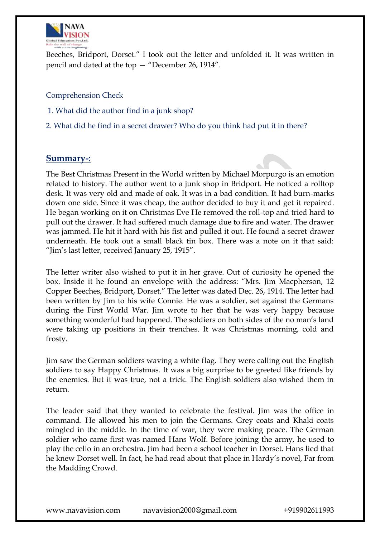

Beeches, Bridport, Dorset." I took out the letter and unfolded it. It was written in pencil and dated at the top — "December 26, 1914".

Comprehension Check

- 1. What did the author find in a junk shop?
- 2. What did he find in a secret drawer? Who do you think had put it in there?

#### **Summary-:**

The Best Christmas Present in the World written by Michael Morpurgo is an emotion related to history. The author went to a junk shop in Bridport. He noticed a rolltop desk. It was very old and made of oak. It was in a bad condition. It had burn-marks down one side. Since it was cheap, the author decided to buy it and get it repaired. He began working on it on Christmas Eve He removed the roll-top and tried hard to pull out the drawer. It had suffered much damage due to fire and water. The drawer was jammed. He hit it hard with his fist and pulled it out. He found a secret drawer underneath. He took out a small black tin box. There was a note on it that said: "Jim"s last letter, received January 25, 1915".

The letter writer also wished to put it in her grave. Out of curiosity he opened the box. Inside it he found an envelope with the address: "Mrs. Jim Macpherson, 12 Copper Beeches, Bridport, Dorset." The letter was dated Dec. 26, 1914. The letter had been written by Jim to his wife Connie. He was a soldier, set against the Germans during the First World War. Jim wrote to her that he was very happy because something wonderful had happened. The soldiers on both sides of the no man's land were taking up positions in their trenches. It was Christmas morning, cold and frosty.

Jim saw the German soldiers waving a white flag. They were calling out the English soldiers to say Happy Christmas. It was a big surprise to be greeted like friends by the enemies. But it was true, not a trick. The English soldiers also wished them in return.

The leader said that they wanted to celebrate the festival. Jim was the office in command. He allowed his men to join the Germans. Grey coats and Khaki coats mingled in the middle. In the time of war, they were making peace. The German soldier who came first was named Hans Wolf. Before joining the army, he used to play the cello in an orchestra. Jim had been a school teacher in Dorset. Hans lied that he knew Dorset well. In fact, he had read about that place in Hardy"s novel, Far from the Madding Crowd.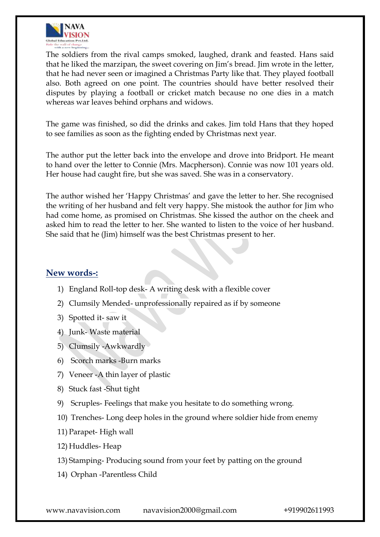

The soldiers from the rival camps smoked, laughed, drank and feasted. Hans said that he liked the marzipan, the sweet covering on Jim"s bread. Jim wrote in the letter, that he had never seen or imagined a Christmas Party like that. They played football also. Both agreed on one point. The countries should have better resolved their disputes by playing a football or cricket match because no one dies in a match whereas war leaves behind orphans and widows.

The game was finished, so did the drinks and cakes. Jim told Hans that they hoped to see families as soon as the fighting ended by Christmas next year.

The author put the letter back into the envelope and drove into Bridport. He meant to hand over the letter to Connie (Mrs. Macpherson). Connie was now 101 years old. Her house had caught fire, but she was saved. She was in a conservatory.

The author wished her "Happy Christmas" and gave the letter to her. She recognised the writing of her husband and felt very happy. She mistook the author for Jim who had come home, as promised on Christmas. She kissed the author on the cheek and asked him to read the letter to her. She wanted to listen to the voice of her husband. She said that he (Jim) himself was the best Christmas present to her.

### **New words-:**

- 1) England Roll-top desk- A writing desk with a flexible cover
- 2) Clumsily Mended- unprofessionally repaired as if by someone
- 3) Spotted it- saw it
- 4) Junk- Waste material
- 5) Clumsily -Awkwardly
- 6) Scorch marks -Burn marks
- 7) Veneer -A thin layer of plastic
- 8) Stuck fast -Shut tight
- 9) Scruples- Feelings that make you hesitate to do something wrong.
- 10) Trenches- Long deep holes in the ground where soldier hide from enemy
- 11) Parapet- High wall
- 12) Huddles- Heap
- 13) Stamping- Producing sound from your feet by patting on the ground
- 14) Orphan -Parentless Child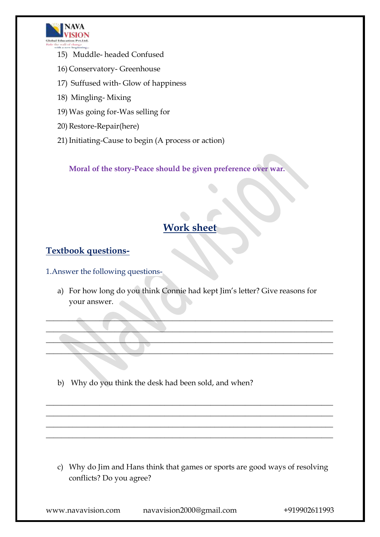

- 15) Muddle- headed Confused
- 16) Conservatory- Greenhouse
- 17) Suffused with- Glow of happiness
- 18) Mingling- Mixing
- 19) Was going for-Was selling for
- 20) Restore-Repair(here)
- 21) Initiating-Cause to begin (A process or action)

**Moral of the story-Peace should be given preference over war.**

## **Work sheet**

### **Textbook questions-**

1.Answer the following questions-

a) For how long do you think Connie had kept Jim"s letter? Give reasons for your answer.

 $\blacksquare$  $\blacksquare$  $\mathcal{L}=\{x_1,\ldots,x_n\}$  , where  $\mathcal{L}=\{x_1,\ldots,x_n\}$  , we have the set of  $x_1,\ldots,x_n$ \_\_\_\_\_\_\_\_\_\_\_\_\_\_\_\_\_\_\_\_\_\_\_\_\_\_\_\_\_\_\_\_\_\_\_\_\_\_\_\_\_\_\_\_\_\_\_\_\_\_\_\_\_\_\_\_\_\_\_\_\_\_\_\_\_\_\_\_\_\_\_\_\_\_\_

\_\_\_\_\_\_\_\_\_\_\_\_\_\_\_\_\_\_\_\_\_\_\_\_\_\_\_\_\_\_\_\_\_\_\_\_\_\_\_\_\_\_\_\_\_\_\_\_\_\_\_\_\_\_\_\_\_\_\_\_\_\_\_\_\_\_\_\_\_\_\_\_\_\_\_ \_\_\_\_\_\_\_\_\_\_\_\_\_\_\_\_\_\_\_\_\_\_\_\_\_\_\_\_\_\_\_\_\_\_\_\_\_\_\_\_\_\_\_\_\_\_\_\_\_\_\_\_\_\_\_\_\_\_\_\_\_\_\_\_\_\_\_\_\_\_\_\_\_\_\_ \_\_\_\_\_\_\_\_\_\_\_\_\_\_\_\_\_\_\_\_\_\_\_\_\_\_\_\_\_\_\_\_\_\_\_\_\_\_\_\_\_\_\_\_\_\_\_\_\_\_\_\_\_\_\_\_\_\_\_\_\_\_\_\_\_\_\_\_\_\_\_\_\_\_\_ \_\_\_\_\_\_\_\_\_\_\_\_\_\_\_\_\_\_\_\_\_\_\_\_\_\_\_\_\_\_\_\_\_\_\_\_\_\_\_\_\_\_\_\_\_\_\_\_\_\_\_\_\_\_\_\_\_\_\_\_\_\_\_\_\_\_\_\_\_\_\_\_\_\_\_

b) Why do you think the desk had been sold, and when?

c) Why do Jim and Hans think that games or sports are good ways of resolving conflicts? Do you agree?